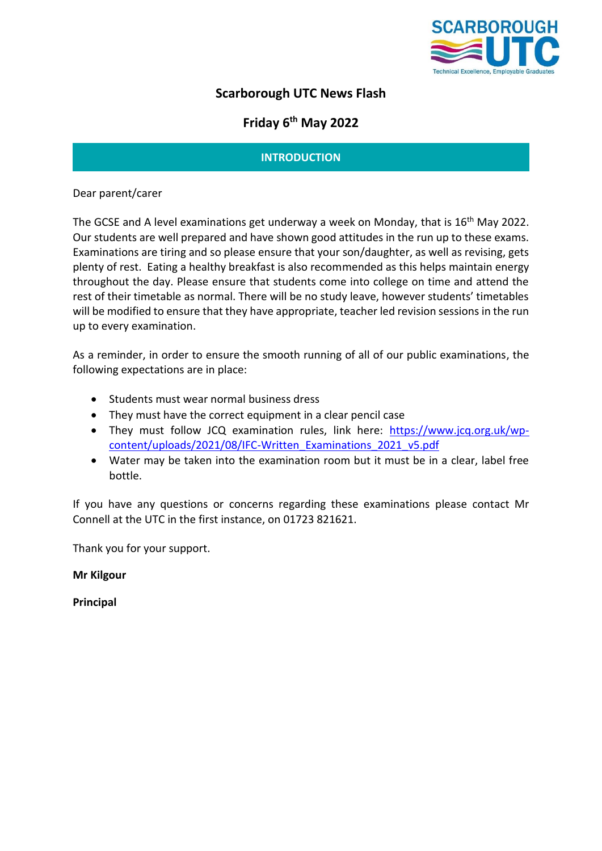

# **Scarborough UTC News Flash**

# **Friday 6 th May 2022**

# **INTRODUCTION**

Dear parent/carer

The GCSE and A level examinations get underway a week on Monday, that is 16<sup>th</sup> May 2022. Our students are well prepared and have shown good attitudes in the run up to these exams. Examinations are tiring and so please ensure that your son/daughter, as well as revising, gets plenty of rest. Eating a healthy breakfast is also recommended as this helps maintain energy throughout the day. Please ensure that students come into college on time and attend the rest of their timetable as normal. There will be no study leave, however students' timetables will be modified to ensure that they have appropriate, teacher led revision sessions in the run up to every examination.

As a reminder, in order to ensure the smooth running of all of our public examinations, the following expectations are in place:

- Students must wear normal business dress
- They must have the correct equipment in a clear pencil case
- They must follow JCQ examination rules, link here: [https://www.jcq.org.uk/wp](https://www.jcq.org.uk/wp-content/uploads/2021/08/IFC-Written_Examinations_2021_v5.pdf)[content/uploads/2021/08/IFC-Written\\_Examinations\\_2021\\_v5.pdf](https://www.jcq.org.uk/wp-content/uploads/2021/08/IFC-Written_Examinations_2021_v5.pdf)
- Water may be taken into the examination room but it must be in a clear, label free bottle.

If you have any questions or concerns regarding these examinations please contact Mr Connell at the UTC in the first instance, on 01723 821621.

Thank you for your support.

**Mr Kilgour**

**Principal**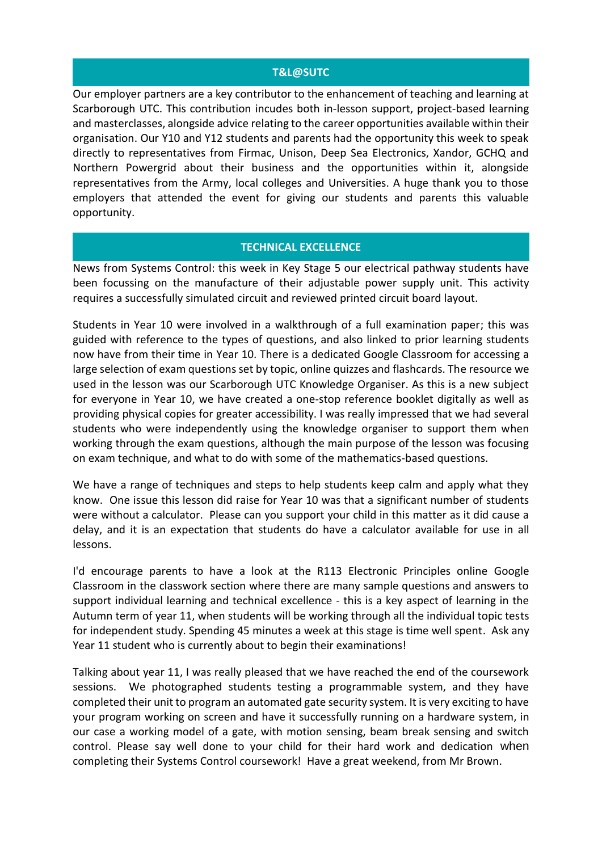### **T&L@SUTC**

Our employer partners are a key contributor to the enhancement of teaching and learning at Scarborough UTC. This contribution incudes both in-lesson support, project-based learning and masterclasses, alongside advice relating to the career opportunities available within their organisation. Our Y10 and Y12 students and parents had the opportunity this week to speak directly to representatives from Firmac, Unison, Deep Sea Electronics, Xandor, GCHQ and Northern Powergrid about their business and the opportunities within it, alongside representatives from the Army, local colleges and Universities. A huge thank you to those employers that attended the event for giving our students and parents this valuable opportunity.

# **TECHNICAL EXCELLENCE**

News from Systems Control: this week in Key Stage 5 our electrical pathway students have been focussing on the manufacture of their adjustable power supply unit. This activity requires a successfully simulated circuit and reviewed printed circuit board layout.

Students in Year 10 were involved in a walkthrough of a full examination paper; this was guided with reference to the types of questions, and also linked to prior learning students now have from their time in Year 10. There is a dedicated Google Classroom for accessing a large selection of exam questions set by topic, online quizzes and flashcards. The resource we used in the lesson was our Scarborough UTC Knowledge Organiser. As this is a new subject for everyone in Year 10, we have created a one-stop reference booklet digitally as well as providing physical copies for greater accessibility. I was really impressed that we had several students who were independently using the knowledge organiser to support them when working through the exam questions, although the main purpose of the lesson was focusing on exam technique, and what to do with some of the mathematics-based questions.

We have a range of techniques and steps to help students keep calm and apply what they know. One issue this lesson did raise for Year 10 was that a significant number of students were without a calculator. Please can you support your child in this matter as it did cause a delay, and it is an expectation that students do have a calculator available for use in all lessons.

I'd encourage parents to have a look at the R113 Electronic Principles online Google Classroom in the classwork section where there are many sample questions and answers to support individual learning and technical excellence - this is a key aspect of learning in the Autumn term of year 11, when students will be working through all the individual topic tests for independent study. Spending 45 minutes a week at this stage is time well spent. Ask any Year 11 student who is currently about to begin their examinations!

Talking about year 11, I was really pleased that we have reached the end of the coursework sessions. We photographed students testing a programmable system, and they have completed their unit to program an automated gate security system. It is very exciting to have your program working on screen and have it successfully running on a hardware system, in our case a working model of a gate, with motion sensing, beam break sensing and switch control. Please say well done to your child for their hard work and dedication when completing their Systems Control coursework! Have a great weekend, from Mr Brown.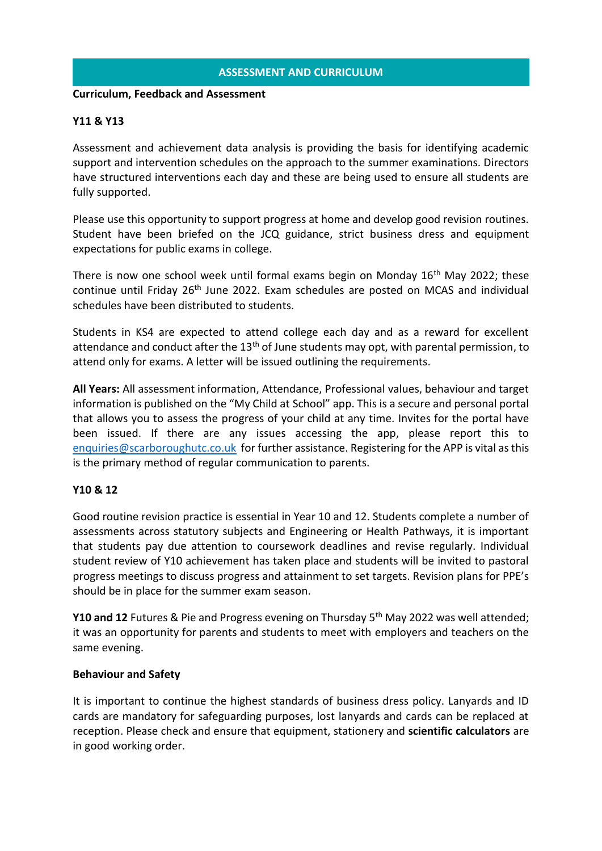# **ASSESSMENT AND CURRICULUM**

#### **Curriculum, Feedback and Assessment**

## **Y11 & Y13**

Assessment and achievement data analysis is providing the basis for identifying academic support and intervention schedules on the approach to the summer examinations. Directors have structured interventions each day and these are being used to ensure all students are fully supported.

Please use this opportunity to support progress at home and develop good revision routines. Student have been briefed on the JCQ guidance, strict business dress and equipment expectations for public exams in college.

There is now one school week until formal exams begin on Monday  $16<sup>th</sup>$  May 2022; these continue until Friday 26<sup>th</sup> June 2022. Exam schedules are posted on MCAS and individual schedules have been distributed to students.

Students in KS4 are expected to attend college each day and as a reward for excellent attendance and conduct after the  $13<sup>th</sup>$  of June students may opt, with parental permission, to attend only for exams. A letter will be issued outlining the requirements.

**All Years:** All assessment information, Attendance, Professional values, behaviour and target information is published on the "My Child at School" app. This is a secure and personal portal that allows you to assess the progress of your child at any time. Invites for the portal have been issued. If there are any issues accessing the app, please report this to [enquiries@scarboroughutc.co.uk](mailto:enquiries@scarboroughutc.co.uk) for further assistance. Registering for the APP is vital as this is the primary method of regular communication to parents.

### **Y10 & 12**

Good routine revision practice is essential in Year 10 and 12. Students complete a number of assessments across statutory subjects and Engineering or Health Pathways, it is important that students pay due attention to coursework deadlines and revise regularly. Individual student review of Y10 achievement has taken place and students will be invited to pastoral progress meetings to discuss progress and attainment to set targets. Revision plans for PPE's should be in place for the summer exam season.

**Y10 and 12** Futures & Pie and Progress evening on Thursday 5th May 2022 was well attended; it was an opportunity for parents and students to meet with employers and teachers on the same evening.

### **Behaviour and Safety**

It is important to continue the highest standards of business dress policy. Lanyards and ID cards are mandatory for safeguarding purposes, lost lanyards and cards can be replaced at reception. Please check and ensure that equipment, stationery and **scientific calculators** are in good working order.